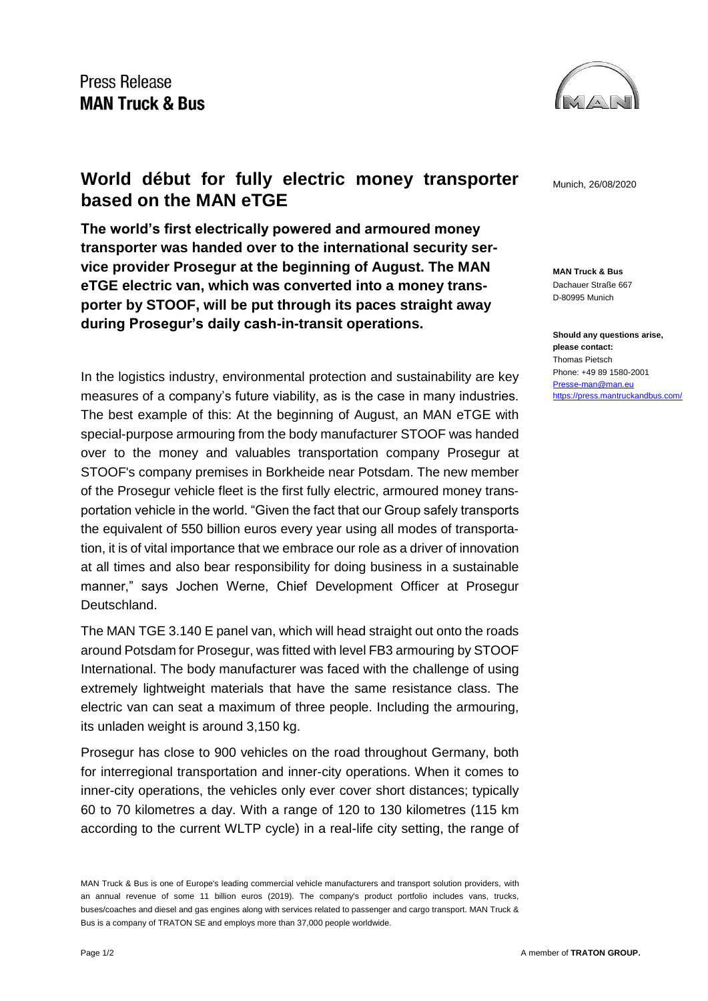

**MAN Truck & Bus** Dachauer Straße 667 D-80995 Munich

**Should any questions arise, please contact:** Thomas Pietsch Phone: +49 89 1580-2001 [Presse-man@man.eu](mailto:Presse-man@man.eu) <https://press.mantruckandbus.com/>

## **World début for fully electric money transporter** Munich, 26/08/2020 **based on the MAN eTGE**

**The world's first electrically powered and armoured money transporter was handed over to the international security service provider Prosegur at the beginning of August. The MAN eTGE electric van, which was converted into a money transporter by STOOF, will be put through its paces straight away during Prosegur's daily cash-in-transit operations.**

In the logistics industry, environmental protection and sustainability are key measures of a company's future viability, as is the case in many industries. The best example of this: At the beginning of August, an MAN eTGE with special-purpose armouring from the body manufacturer STOOF was handed over to the money and valuables transportation company Prosegur at STOOF's company premises in Borkheide near Potsdam. The new member of the Prosegur vehicle fleet is the first fully electric, armoured money transportation vehicle in the world. "Given the fact that our Group safely transports the equivalent of 550 billion euros every year using all modes of transportation, it is of vital importance that we embrace our role as a driver of innovation at all times and also bear responsibility for doing business in a sustainable manner," says Jochen Werne, Chief Development Officer at Prosegur Deutschland.

The MAN TGE 3.140 E panel van, which will head straight out onto the roads around Potsdam for Prosegur, was fitted with level FB3 armouring by STOOF International. The body manufacturer was faced with the challenge of using extremely lightweight materials that have the same resistance class. The electric van can seat a maximum of three people. Including the armouring, its unladen weight is around 3,150 kg.

Prosegur has close to 900 vehicles on the road throughout Germany, both for interregional transportation and inner-city operations. When it comes to inner-city operations, the vehicles only ever cover short distances; typically 60 to 70 kilometres a day. With a range of 120 to 130 kilometres (115 km according to the current WLTP cycle) in a real-life city setting, the range of

MAN Truck & Bus is one of Europe's leading commercial vehicle manufacturers and transport solution providers, with an annual revenue of some 11 billion euros (2019). The company's product portfolio includes vans, trucks, buses/coaches and diesel and gas engines along with services related to passenger and cargo transport. MAN Truck & Bus is a company of TRATON SE and employs more than 37,000 people worldwide.